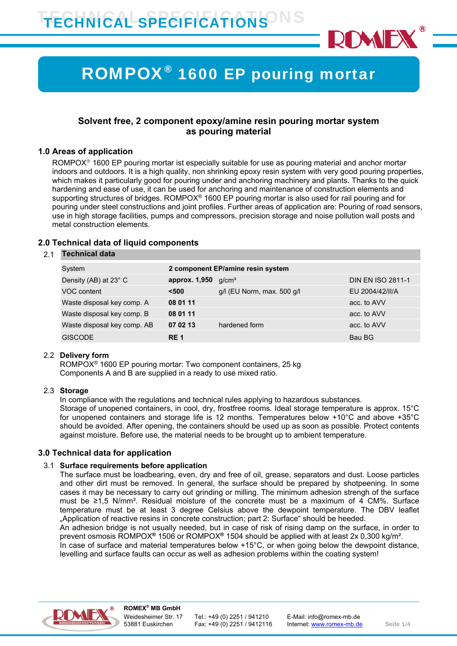

# ROMPOX® 1600 EP pouring mortar

## **Solvent free, 2 component epoxy/amine resin pouring mortar system as pouring material**

#### **1.0 Areas of application**

ROMPOX<sup>®</sup> 1600 EP pouring mortar ist especially suitable for use as pouring material and anchor mortar indoors and outdoors. It is a high quality, non shrinking epoxy resin system with very good pouring properties, which makes it particularly good for pouring under and anchoring machinery and plants. Thanks to the quick hardening and ease of use, it can be used for anchoring and maintenance of construction elements and supporting structures of bridges. ROMPOX<sup>®</sup> 1600 EP pouring mortar is also used for rail pouring and for pouring under steel constructions and joint profiles. Further areas of application are: Pouring of road sensors, use in high storage facilities, pumps and compressors, precision storage and noise pollution wall posts and metal construction elements.

#### **2.0 Technical data of liquid components**

#### 2.1 **Technical data**

| System                      | 2 component EP/amine resin system |                                |                          |
|-----------------------------|-----------------------------------|--------------------------------|--------------------------|
| Density (AB) at 23° C       | approx. 1,950                     | q/cm <sup>3</sup>              | <b>DIN EN ISO 2811-1</b> |
| VOC content                 | $500$                             | $g/l$ (EU Norm, max. 500 $g/l$ | EU 2004/42/II/A          |
| Waste disposal key comp. A  | 08 01 11                          |                                | acc. to AVV              |
| Waste disposal key comp. B  | 08 01 11                          |                                | acc. to AVV              |
| Waste disposal key comp. AB | 07 02 13                          | hardened form                  | acc. to AVV              |
| <b>GISCODE</b>              | RE <sub>1</sub>                   |                                | Bau BG                   |

#### 2.2 **Delivery form**

ROMPOX® 1600 EP pouring mortar: Two component containers, 25 kg Components A and B are supplied in a ready to use mixed ratio.

#### 2.3 **Storage**

In compliance with the regulations and technical rules applying to hazardous substances. Storage of unopened containers, in cool, dry, frostfree rooms. Ideal storage temperature is approx. 15°C for unopened containers and storage life is 12 months. Temperatures below +10°C and above +35°C should be avoided. After opening, the containers should be used up as soon as possible. Protect contents against moisture. Before use, the material needs to be brought up to ambient temperature.

#### **3.0 Technical data for application**

#### 3.1 **Surface requirements before application**

The surface must be loadbearing, even, dry and free of oil, grease, separators and dust. Loose particles and other dirt must be removed. In general, the surface should be prepared by shotpeening. In some cases it may be necessary to carry out grinding or milling. The minimum adhesion strengh of the surface must be ≥1,5 N/mm². Residual moisture of the concrete must be a maximum of 4 CM%. Surface temperature must be at least 3 degree Celsius above the dewpoint temperature. The DBV leaflet "Application of reactive resins in concrete construction; part 2: Surface" should be heeded.

An adhesion bridge is not usually needed, but in case of risk of rising damp on the surface, in order to prevent osmosis ROMPOX**®** 1506 or ROMPOX**®** 1504 should be applied with at least 2x 0,300 kg/m².

In case of surface and material temperatures below +15°C, or when going below the dewpoint distance, levelling and surface faults can occur as well as adhesion problems within the coating system!

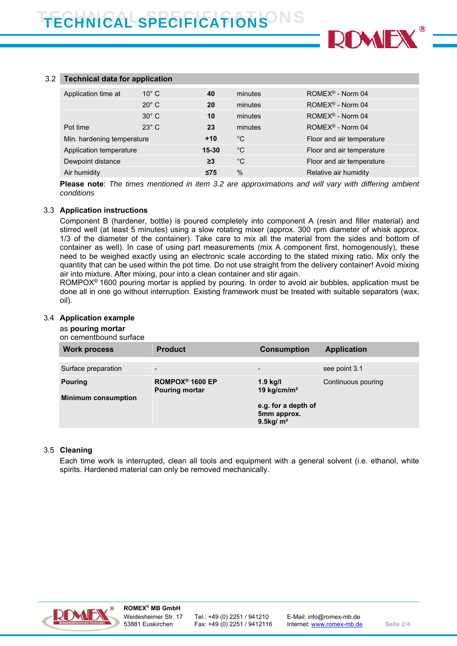

#### 3.2 **Technical data for application**

| Application time at        | $10^{\circ}$ C | 40        | minutes      | ROMEX <sup>®</sup> - Norm 04 |
|----------------------------|----------------|-----------|--------------|------------------------------|
|                            |                |           |              |                              |
|                            | $20^\circ$ C   | 20        | minutes      | ROMEX <sup>®</sup> - Norm 04 |
|                            |                |           |              |                              |
|                            | $30^\circ$ C   | 10        | minutes      | ROMEX® - Norm 04             |
| Pot time                   | $23^\circ$ C   | 23        | minutes      | ROMEX <sup>®</sup> - Norm 04 |
|                            |                |           |              |                              |
| Min. hardening temperature |                | $+10$     | $^{\circ}$ C | Floor and air temperature    |
|                            |                |           |              |                              |
| Application temperature    |                | $15 - 30$ | $^{\circ}$ C | Floor and air temperature    |
|                            |                |           |              |                              |
| Dewpoint distance          |                | $\geq$ 3  | $^{\circ}$ C | Floor and air temperature    |
|                            |                |           |              |                              |
| Air humidity               |                | $\leq$ 75 | $\%$         | Relative air humidity        |
|                            |                |           |              |                              |

**Please note**: *The times mentioned in item 3.2 are approximations and will vary with differing ambient conditions*

#### 3.3 **Application instructions**

Component B (hardener, bottle) is poured completely into component A (resin and filler material) and stirred well (at least 5 minutes) using a slow rotating mixer (approx. 300 rpm diameter of whisk approx. 1/3 of the diameter of the container). Take care to mix all the material from the sides and bottom of container as well). In case of using part measurements (mix A component first, homogenously), these need to be weighed exactly using an electronic scale according to the stated mixing ratio. Mix only the quantity that can be used within the pot time. Do not use straight from the delivery container! Avoid mixing air into mixture. After mixing, pour into a clean container and stir again.

ROMPOX® 1600 pouring mortar is applied by pouring. In order to avoid air bubbles, application must be done all in one go without interruption. Existing framework must be treated with suitable separators (wax, oil).

#### 3.4 **Application example**

#### as **pouring mortar**

on cementbound surface

| <b>Work process</b>        | <b>Product</b>                                       | <b>Consumption</b>                                             | <b>Application</b> |
|----------------------------|------------------------------------------------------|----------------------------------------------------------------|--------------------|
| Surface preparation        | $\overline{\phantom{a}}$                             | -                                                              | see point 3.1      |
| <b>Pouring</b>             | ROMPOX <sup>®</sup> 1600 EP<br><b>Pouring mortar</b> | $1.9$ kg/l<br>19 kg/cm/m <sup>2</sup>                          | Continuous pouring |
| <b>Minimum consumption</b> |                                                      | e.g. for a depth of<br>5mm approx.<br>$9.5$ kg/ m <sup>2</sup> |                    |

#### 3.5 **Cleaning**

Each time work is interrupted, clean all tools and equipment with a general solvent (i.e. ethanol, white spirits. Hardened material can only be removed mechanically.

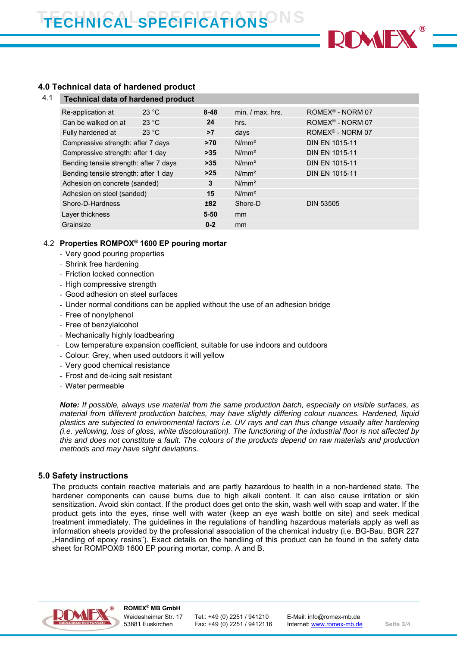

# **4.0 Technical data of hardened product**

| 4.1 | <b>Technical data of hardened product</b> |       |          |                    |                              |  |
|-----|-------------------------------------------|-------|----------|--------------------|------------------------------|--|
|     | Re-application at                         | 23 °C | $8 - 48$ | $min. / max.$ hrs. | ROMEX <sup>®</sup> - NORM 07 |  |
|     | Can be walked on at                       | 23 °C | 24       | hrs.               | ROMEX <sup>®</sup> - NORM 07 |  |
|     | Fully hardened at                         | 23 °C | >7       | days               | ROMEX <sup>®</sup> - NORM 07 |  |
|     | Compressive strength: after 7 days        |       | $>70$    | N/mm <sup>2</sup>  | <b>DIN EN 1015-11</b>        |  |
|     | Compressive strength: after 1 day         |       | $>35$    | N/mm <sup>2</sup>  | <b>DIN EN 1015-11</b>        |  |
|     | Bending tensile strength: after 7 days    |       | $>35$    | $N/mm^2$           | <b>DIN EN 1015-11</b>        |  |
|     | Bending tensile strength: after 1 day     |       | $>25$    | N/mm <sup>2</sup>  | <b>DIN EN 1015-11</b>        |  |
|     | Adhesion on concrete (sanded)             |       | 3        | N/mm <sup>2</sup>  |                              |  |
|     | Adhesion on steel (sanded)                |       | 15       | N/mm <sup>2</sup>  |                              |  |
|     | Shore-D-Hardness                          |       | ±82      | Shore-D            | <b>DIN 53505</b>             |  |
|     | Layer thickness                           |       | $5 - 50$ | <sub>mm</sub>      |                              |  |
|     | Grainsize                                 |       | $0 - 2$  | <sub>mm</sub>      |                              |  |
|     |                                           |       |          |                    |                              |  |

## 4.2 **Properties ROMPOX® 1600 EP pouring mortar**

- Very good pouring properties
- Shrink free hardening
- Friction locked connection
- High compressive strength
- Good adhesion on steel surfaces
- Under normal conditions can be applied without the use of an adhesion bridge
- Free of nonylphenol
- Free of benzylalcohol
- Mechanically highly loadbearing
- Low temperature expansion coefficient, suitable for use indoors and outdoors
- Colour: Grey, when used outdoors it will yellow
- Very good chemical resistance
- Frost and de-icing salt resistant
- Water permeable

*Note: If possible, always use material from the same production batch, especially on visible surfaces, as material from different production batches, may have slightly differing colour nuances. Hardened, liquid plastics are subjected to environmental factors i.e. UV rays and can thus change visually after hardening (i.e. yellowing, loss of gloss, white discolouration). The functioning of the industrial floor is not affected by this and does not constitute a fault. The colours of the products depend on raw materials and production methods and may have slight deviations.* 

## **5.0 Safety instructions**

The products contain reactive materials and are partly hazardous to health in a non-hardened state. The hardener components can cause burns due to high alkali content. It can also cause irritation or skin sensitization. Avoid skin contact. If the product does get onto the skin, wash well with soap and water. If the product gets into the eyes, rinse well with water (keep an eye wash bottle on site) and seek medical treatment immediately. The guidelines in the regulations of handling hazardous materials apply as well as information sheets provided by the professional association of the chemical industry (i.e. BG-Bau, BGR 227 "Handling of epoxy resins"). Exact details on the handling of this product can be found in the safety data sheet for ROMPOX® 1600 EP pouring mortar, comp. A and B.